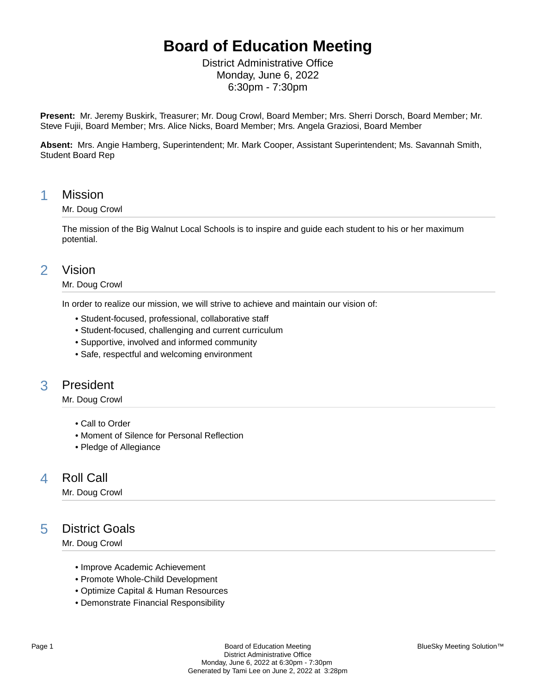# **Board of Education Meeting**

District Administrative Office Monday, June 6, 2022 6:30pm - 7:30pm

**Present:** Mr. Jeremy Buskirk, Treasurer; Mr. Doug Crowl, Board Member; Mrs. Sherri Dorsch, Board Member; Mr. Steve Fujii, Board Member; Mrs. Alice Nicks, Board Member; Mrs. Angela Graziosi, Board Member

**Absent:** Mrs. Angie Hamberg, Superintendent; Mr. Mark Cooper, Assistant Superintendent; Ms. Savannah Smith, Student Board Rep

### 1 Mission

#### Mr. Doug Crowl

The mission of the Big Walnut Local Schools is to inspire and guide each student to his or her maximum potential.

### 2 Vision

#### Mr. Doug Crowl

In order to realize our mission, we will strive to achieve and maintain our vision of:

- Student-focused, professional, collaborative staff
- Student-focused, challenging and current curriculum
- Supportive, involved and informed community
- Safe, respectful and welcoming environment

## 3 President

Mr. Doug Crowl

- Call to Order
- Moment of Silence for Personal Reflection
- Pledge of Allegiance

## 4 Roll Call

Mr. Doug Crowl

## 5 District Goals

Mr. Doug Crowl

- Improve Academic Achievement
- Promote Whole-Child Development
- Optimize Capital & Human Resources
- Demonstrate Financial Responsibility